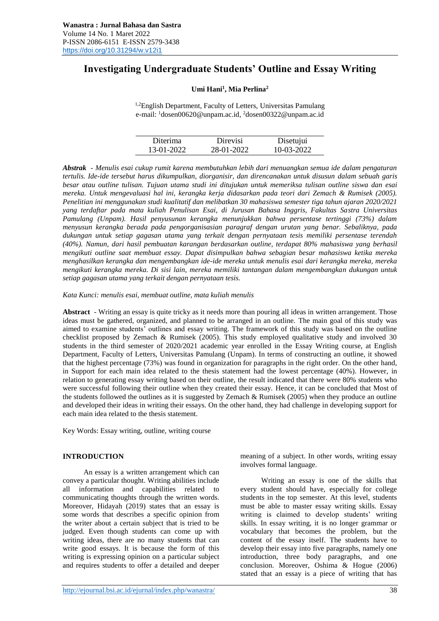# **Investigating Undergraduate Students' Outline and Essay Writing**

#### **Umi Hani<sup>1</sup> , Mia Perlina<sup>2</sup>**

<sup>1,2</sup>English Department, Faculty of Letters, Universitas Pamulang e-mail: <sup>1</sup>dosen00620@unpam.ac.id, <sup>2</sup>dosen00322@unpam.ac.id

| Diterima   | Direvisi   | Disetujui  |
|------------|------------|------------|
| 13-01-2022 | 28-01-2022 | 10-03-2022 |

*Abstrak - Menulis esai cukup rumit karena membutuhkan lebih dari menuangkan semua ide dalam pengaturan tertulis. Ide-ide tersebut harus dikumpulkan, diorganisir, dan direncanakan untuk disusun dalam sebuah garis besar atau outline tulisan. Tujuan utama studi ini ditujukan untuk memeriksa tulisan outline siswa dan esai mereka. Untuk mengevaluasi hal ini, kerangka kerja didasarkan pada teori dari Zemach & Rumisek (2005). Penelitian ini menggunakan studi kualitatif dan melibatkan 30 mahasiswa semester tiga tahun ajaran 2020/2021 yang terdaftar pada mata kuliah Penulisan Esai, di Jurusan Bahasa Inggris, Fakultas Sastra Universitas Pamulang (Unpam). Hasil penyusunan kerangka menunjukkan bahwa persentase tertinggi (73%) dalam menyusun kerangka berada pada pengorganisasian paragraf dengan urutan yang benar. Sebaliknya, pada dukungan untuk setiap gagasan utama yang terkait dengan pernyataan tesis memiliki persentase terendah (40%). Namun, dari hasil pembuatan karangan berdasarkan outline, terdapat 80% mahasiswa yang berhasil mengikuti outline saat membuat essay. Dapat disimpulkan bahwa sebagian besar mahasiswa ketika mereka menghasilkan kerangka dan mengembangkan ide-ide mereka untuk menulis esai dari kerangka mereka, mereka mengikuti kerangka mereka. Di sisi lain, mereka memiliki tantangan dalam mengembangkan dukungan untuk setiap gagasan utama yang terkait dengan pernyataan tesis.* 

*Kata Kunci: menulis esai, membuat outline, mata kuliah menulis*

**Abstract** - Writing an essay is quite tricky as it needs more than pouring all ideas in written arrangement. Those ideas must be gathered, organized, and planned to be arranged in an outline. The main goal of this study was aimed to examine students' outlines and essay writing. The framework of this study was based on the outline checklist proposed by Zemach & Rumisek (2005). This study employed qualitative study and involved 30 students in the third semester of 2020/2021 academic year enrolled in the Essay Writing course, at English Department, Faculty of Letters, Universitas Pamulang (Unpam). In terms of constructing an outline, it showed that the highest percentage (73%) was found in organization for paragraphs in the right order. On the other hand, in Support for each main idea related to the thesis statement had the lowest percentage (40%). However, in relation to generating essay writing based on their outline, the result indicated that there were 80% students who were successful following their outline when they created their essay. Hence, it can be concluded that Most of the students followed the outlines as it is suggested by Zemach & Rumisek (2005) when they produce an outline and developed their ideas in writing their essays. On the other hand, they had challenge in developing support for each main idea related to the thesis statement.

Key Words: Essay writing, outline, writing course

## **INTRODUCTION**

An essay is a written arrangement which can convey a particular thought. Writing abilities include all information and capabilities related to communicating thoughts through the written words. Moreover, Hidayah (2019) states that an essay is some words that describes a specific opinion from the writer about a certain subject that is tried to be judged. Even though students can come up with writing ideas, there are no many students that can write good essays. It is because the form of this writing is expressing opinion on a particular subject and requires students to offer a detailed and deeper meaning of a subject. In other words, writing essay involves formal language.

Writing an essay is one of the skills that every student should have, especially for college students in the top semester. At this level, students must be able to master essay writing skills. Essay writing is claimed to develop students' writing skills. In essay writing, it is no longer grammar or vocabulary that becomes the problem, but the content of the essay itself. The students have to develop their essay into five paragraphs, namely one introduction, three body paragraphs, and one conclusion. Moreover, Oshima & Hogue (2006) stated that an essay is a piece of writing that has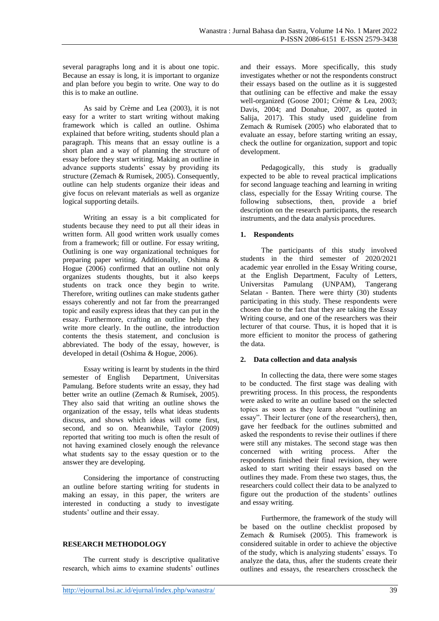several paragraphs long and it is about one topic. Because an essay is long, it is important to organize and plan before you begin to write. One way to do this is to make an outline.

As said by Crème and Lea (2003), it is not easy for a writer to start writing without making framework which is called an outline. Oshima explained that before writing, students should plan a paragraph. This means that an essay outline is a short plan and a way of planning the structure of essay before they start writing. Making an outline in advance supports students' essay by providing its structure (Zemach & Rumisek, 2005). Consequently, outline can help students organize their ideas and give focus on relevant materials as well as organize logical supporting details.

Writing an essay is a bit complicated for students because they need to put all their ideas in written form. All good written work usually comes from a framework; fill or outline. For essay writing, Outlining is one way organizational techniques for preparing paper writing. Additionally, Oshima & Hogue (2006) confirmed that an outline not only organizes students thoughts, but it also keeps students on track once they begin to write. Therefore, writing outlines can make students gather essays coherently and not far from the prearranged topic and easily express ideas that they can put in the essay. Furthermore, crafting an outline help they write more clearly. In the outline, the introduction contents the thesis statement, and conclusion is abbreviated. The body of the essay, however, is developed in detail (Oshima & Hogue, 2006).

Essay writing is learnt by students in the third semester of English Department, Universitas Pamulang. Before students write an essay, they had better write an outline (Zemach & Rumisek, 2005). They also said that writing an outline shows the organization of the essay, tells what ideas students discuss, and shows which ideas will come first, second, and so on. Meanwhile, Taylor (2009) reported that writing too much is often the result of not having examined closely enough the relevance what students say to the essay question or to the answer they are developing.

Considering the importance of constructing an outline before starting writing for students in making an essay, in this paper, the writers are interested in conducting a study to investigate students' outline and their essay.

## **RESEARCH METHODOLOGY**

The current study is descriptive qualitative research, which aims to examine students' outlines

and their essays. More specifically, this study investigates whether or not the respondents construct their essays based on the outline as it is suggested that outlining can be effective and make the essay well-organized (Goose 2001; Crème & Lea, 2003; Davis, 2004; and Donahue, 2007, as quoted in Salija, 2017). This study used guideline from Zemach & Rumisek (2005) who elaborated that to evaluate an essay, before starting writing an essay, check the outline for organization, support and topic development.

Pedagogically, this study is gradually expected to be able to reveal practical implications for second language teaching and learning in writing class, especially for the Essay Writing course. The following subsections, then, provide a brief description on the research participants, the research instruments, and the data analysis procedures.

#### **1. Respondents**

The participants of this study involved students in the third semester of 2020/2021 academic year enrolled in the Essay Writing course, at the English Department, Faculty of Letters, Universitas Pamulang (UNPAM), Tangerang Selatan - Banten. There were thirty (30) students participating in this study. These respondents were chosen due to the fact that they are taking the Essay Writing course, and one of the researchers was their lecturer of that course. Thus, it is hoped that it is more efficient to monitor the process of gathering the data.

#### **2. Data collection and data analysis**

In collecting the data, there were some stages to be conducted. The first stage was dealing with prewriting process. In this process, the respondents were asked to write an outline based on the selected topics as soon as they learn about "outlining an essay". Their lecturer (one of the researchers), then, gave her feedback for the outlines submitted and asked the respondents to revise their outlines if there were still any mistakes. The second stage was then concerned with writing process. After the respondents finished their final revision, they were asked to start writing their essays based on the outlines they made. From these two stages, thus, the researchers could collect their data to be analyzed to figure out the production of the students' outlines and essay writing.

Furthermore, the framework of the study will be based on the outline checklist proposed by Zemach & Rumisek (2005). This framework is considered suitable in order to achieve the objective of the study, which is analyzing students' essays. To analyze the data, thus, after the students create their outlines and essays, the researchers crosscheck the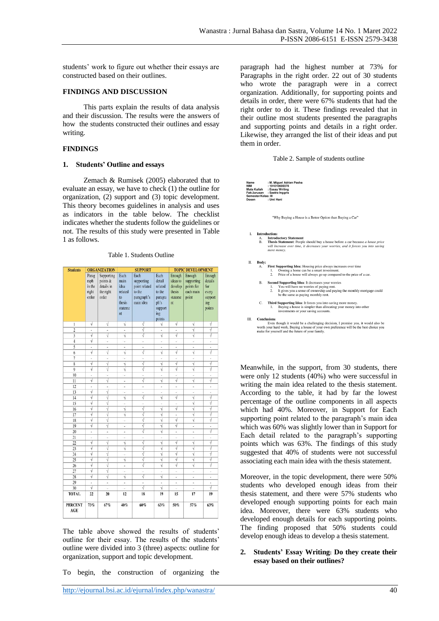students' work to figure out whether their essays are constructed based on their outlines.

#### **FINDINGS AND DISCUSSION**

This parts explain the results of data analysis and their discussion. The results were the answers of how the students constructed their outlines and essay writing.

#### **FINDINGS**

#### **1. Students' Outline and essays**

Zemach & Rumisek (2005) elaborated that to evaluate an essay, we have to check (1) the outline for organization, (2) support and (3) topic development. This theory becomes guidelines in analysis and uses as indicators in the table below. The checklist indicates whether the students follow the guidelines or not. The results of this study were presented in Table 1 as follows.

| <b>Students</b><br><b>ORGANIZATION</b> |                                           |                                                            |                                                                               | <b>SUPPORT</b>                                                            | <b>TOPIC DEVELOPMENT</b>                                                           |                                                                      |                                                          |                                                               |
|----------------------------------------|-------------------------------------------|------------------------------------------------------------|-------------------------------------------------------------------------------|---------------------------------------------------------------------------|------------------------------------------------------------------------------------|----------------------------------------------------------------------|----------------------------------------------------------|---------------------------------------------------------------|
|                                        | Parag<br>raph<br>in the<br>right<br>order | Supporting<br>points &<br>details in<br>the right<br>order | Each<br>main<br>idea<br>related<br>$\overline{10}$<br>thesis<br>stateme<br>nt | Each<br>supporting<br>point related<br>to the<br>paragraph's<br>main idea | Each<br>detail<br>related<br>to the<br>paragra<br>ph's<br>support<br>ing<br>points | Enough<br>ideas to<br>develop<br>thesis<br>stateme<br>n <sub>t</sub> | Enough<br>supporting<br>points for<br>each main<br>point | Enough<br>details<br>for<br>every<br>support<br>ing<br>points |
| 1                                      | V                                         | V                                                          | ٧                                                                             | $\overline{\cdot}$                                                        | $\overline{\sqrt{} }$                                                              | V                                                                    | $\sqrt{}$                                                | $\sqrt{ }$                                                    |
| $\overline{2}$                         | $\centering \label{eq:reduced}$           | ۰                                                          | $\sqrt{ }$<br>$\overline{\phantom{a}}$                                        |                                                                           | ۰                                                                                  | ψ<br>$\overline{\phantom{a}}$                                        |                                                          | ₹                                                             |
| 3                                      | $\sqrt{}$                                 | V                                                          | ý                                                                             | √                                                                         | $\sqrt{}$                                                                          | $\sqrt{ }$                                                           | $\sqrt{}$                                                | ₹                                                             |
| $\overline{4}$                         | $\sqrt{}$                                 | L                                                          | L,                                                                            | İ.                                                                        | à,                                                                                 | Ľ,                                                                   | ä                                                        | ÷,                                                            |
| 5                                      |                                           | ł,                                                         | i.                                                                            | i.                                                                        | i,                                                                                 | i,                                                                   | i.                                                       | ×,                                                            |
| 6                                      | $\sqrt{}$                                 | $\sqrt{ }$                                                 | ý                                                                             | V                                                                         | $\sqrt{}$                                                                          | V                                                                    | $\sqrt{}$                                                | √                                                             |
| 7                                      | L                                         | L,                                                         | L.                                                                            | L                                                                         | L.                                                                                 | à,                                                                   | L,                                                       | L.                                                            |
| 8                                      | V                                         | V                                                          | ٧                                                                             | V                                                                         | $\sqrt{}$                                                                          | V                                                                    | ν                                                        | √                                                             |
| 9                                      | $\sqrt{}$                                 | ν                                                          | V                                                                             | ₹                                                                         | $\sqrt{}$                                                                          | $\sqrt{ }$                                                           | $\sqrt{}$                                                | $\sqrt{}$                                                     |
| 10                                     | i,                                        | i,                                                         | ç.                                                                            | L                                                                         | ċ,                                                                                 | ú,                                                                   | í,                                                       | ä,                                                            |
| 11                                     | V                                         | V                                                          | $\overline{a}$                                                                | $\sqrt{ }$                                                                | $\sqrt{}$                                                                          | $\sqrt{}$                                                            | ψ                                                        | √                                                             |
| 12                                     | ×,<br>$\sqrt{}$                           | ä,                                                         | $\overline{a}$                                                                | ×,                                                                        | ×                                                                                  | ä,                                                                   | ÷                                                        | ×                                                             |
| 13                                     | 7                                         | $\sqrt{ }$                                                 | L.                                                                            | İ,                                                                        | ù.                                                                                 | ú,                                                                   | Ľ.                                                       | ù.                                                            |
| 14                                     |                                           | V                                                          | ý                                                                             | √                                                                         | ₹                                                                                  | $\sqrt{}$                                                            | ν                                                        | ₹                                                             |
| 15                                     | V                                         | $\sqrt{ }$                                                 | i.                                                                            | i.                                                                        | Î,                                                                                 | à,<br>√                                                              | V                                                        | $\sqrt{}$                                                     |
| 16                                     | $\sqrt{}$<br>$\overline{\sqrt{2}}$        | $\sqrt{ }$                                                 | ۱į                                                                            | √                                                                         | $\overline{\sqrt{} }$<br>√                                                         |                                                                      | $\sqrt{}$                                                | √                                                             |
| 17                                     |                                           | V                                                          | ή                                                                             | $\sqrt{ }$                                                                | $\sqrt{}$                                                                          | ä,<br>V                                                              | $\sqrt{}$                                                | √<br>$\overline{\sqrt{ }}$                                    |
| 18                                     | $\sqrt{}$<br>$\sqrt{}$                    | $\sqrt{ }$<br>$\overline{\sqrt{2}}$                        | i.                                                                            | $\sqrt{ }$<br>$\overline{\sqrt{2}}$                                       | $\overline{\sqrt{2}}$                                                              | V                                                                    | $\sqrt{}$                                                |                                                               |
| 19                                     |                                           |                                                            | à,                                                                            |                                                                           | $\overline{\sqrt{ }}$                                                              |                                                                      | ä,                                                       | ×.<br>√                                                       |
| 20                                     | i,                                        | i.                                                         | $\overline{a}$                                                                | ν                                                                         |                                                                                    | $\overline{a}$                                                       | $\overline{\phantom{a}}$                                 |                                                               |
| 21<br>$\overline{22}$                  | V                                         | ×<br>V                                                     |                                                                               | ï<br>$\overline{\sqrt{2}}$                                                | i,<br>ψ                                                                            | ä,<br>v                                                              | i.                                                       | ₹                                                             |
| 23                                     | $\sqrt{}$                                 | √                                                          | ٧<br>ή                                                                        | $\sqrt{ }$                                                                | $\overline{\sqrt{2}}$                                                              | √                                                                    | V<br>$\sqrt{}$                                           | √                                                             |
| 24                                     | $\sqrt{}$                                 | √                                                          |                                                                               | √                                                                         | √                                                                                  | √                                                                    | $\overline{\sqrt{2}}$                                    | √                                                             |
| 25                                     | V                                         | √                                                          | L<br>٧                                                                        | $\overline{\sqrt{2}}$                                                     | $\sqrt{}$                                                                          | V                                                                    | ψ                                                        | √                                                             |
| 26                                     | √                                         | √                                                          |                                                                               | √                                                                         | ₹                                                                                  | $\sqrt{}$                                                            | ψ                                                        | ₹                                                             |
| 27                                     | $\sqrt{}$                                 | V                                                          |                                                                               | i.                                                                        |                                                                                    | ż                                                                    | i,                                                       | ä,                                                            |
| 28                                     | $\sqrt{}$                                 | $\sqrt{ }$                                                 | ٧                                                                             | $\sqrt{2}$                                                                | $\overline{\sqrt{ }}$                                                              | à,                                                                   | ä,                                                       | g)                                                            |
| 29                                     |                                           | i,                                                         | ÷,                                                                            | i.                                                                        | ×.                                                                                 | ä,                                                                   | ÷,                                                       | k,                                                            |
| 30                                     | $\sqrt{}$                                 |                                                            |                                                                               | $\sqrt{ }$                                                                | $\sqrt{}$                                                                          |                                                                      |                                                          | √                                                             |
| <b>TOTAL</b>                           | 22                                        | 20                                                         | 12                                                                            | 18                                                                        | 19                                                                                 | 15                                                                   | 17                                                       | 19                                                            |
| <b>PERCENT</b><br>AGE                  | 73%                                       | 67%                                                        | 40%                                                                           | 60%                                                                       | 63%                                                                                | 50%                                                                  | 57%                                                      | 63%                                                           |

Table 1. Students Outline

The table above showed the results of students' outline for their essay. The results of the students' outline were divided into 3 (three) aspects: outline for organization, support and topic development.

To begin, the construction of organizing the

paragraph had the highest number at 73% for Paragraphs in the right order. 22 out of 30 students who wrote the paragraph were in a correct organization. Additionally, for supporting points and details in order, there were 67% students that had the right order to do it. These findings revealed that in their outline most students presented the paragraphs and supporting points and details in a right order. Likewise, they arranged the list of their ideas and put them in order.

| Name<br><b>NIM</b><br>Mata Kuliah<br>Fak/Jurusan<br>Dosen | Semester/Kelas: III | : M. Miquel Adrian Pasha<br>: 191010600378<br>: Essay Writing<br>: Sastra Inggris<br>: Umi Hani                                                                                                                                           |
|-----------------------------------------------------------|---------------------|-------------------------------------------------------------------------------------------------------------------------------------------------------------------------------------------------------------------------------------------|
|                                                           |                     | "Why Buying a House is a Better Option than Buying a Car"                                                                                                                                                                                 |
| L                                                         | А.<br><b>B.</b>     | Introduction:<br><b>Introductory Statement</b><br>Thesis Statement: People should buy a house before a car because a house price<br>will increase over time, it decreases your worries, and it forces you into saving<br>more money.      |
| П.                                                        | Body:<br>A.         | First Supporting Idea: Housing price always increases over time<br>Owning a home can be a smart investment.<br>1.<br>$\overline{2}$ .<br>Price of a house will always go up compared to the price of a car.                               |
|                                                           | <b>B.</b>           | Second Supporting Idea: It decreases your worries<br>You will have no worries of paying rent.<br>1.<br>It gives you a sense of ownership and paying the monthly mortgage could<br>$\overline{2}$ .<br>be the same as paying monthly rent. |
|                                                           | C.                  | Third Supporting Idea: It forces you into saving more money.<br>Buying a house is simpler than allocating your money into other<br>1.<br>investments or your saving accounts.                                                             |
| Ш.                                                        | <b>Conclusions</b>  | Even though it would be a challenging decision, I promise you, it would also be<br>worth your hard work. Buying a house of your own preference will be the best choice you<br>make for yourself and the future of your family.            |

Meanwhile, in the support, from 30 students, there were only 12 students (40%) who were successful in writing the main idea related to the thesis statement. According to the table, it had by far the lowest percentage of the outline components in all aspects which had 40%. Moreover, in Support for Each supporting point related to the paragraph's main idea which was 60% was slightly lower than in Support for Each detail related to the paragraph's supporting points which was 63%. The findings of this study suggested that 40% of students were not successful associating each main idea with the thesis statement.

Moreover, in the topic development, there were 50% students who developed enough ideas from their thesis statement, and there were 57% students who developed enough supporting points for each main idea. Moreover, there were 63% students who developed enough details for each supporting points. The finding proposed that 50% students could develop enough ideas to develop a thesis statement.

#### **2. Students' Essay Writing: Do they create their essay based on their outlines?**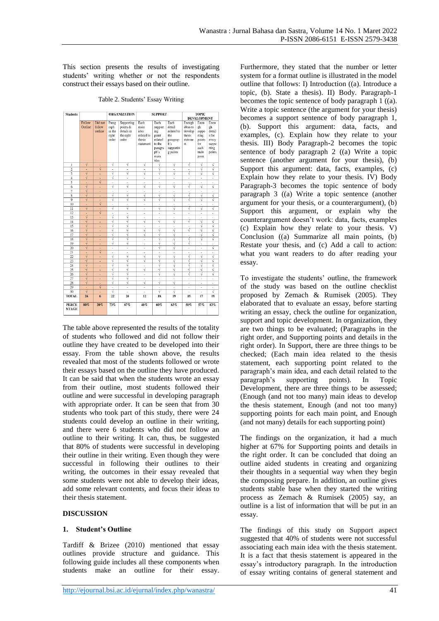This section presents the results of investigating students' writing whether or not the respondents construct their essays based on their outline.

Table 2. Students' Essay Writing

| <b>Students</b>              |                             |                              |                                           | <b>ORGANIZATION</b>                                        |                                              | <b>SUPPORT</b>                             |                                                 |                                                    | TOPIC<br><b>DEVELOPMENT</b>            |                                        |  |
|------------------------------|-----------------------------|------------------------------|-------------------------------------------|------------------------------------------------------------|----------------------------------------------|--------------------------------------------|-------------------------------------------------|----------------------------------------------------|----------------------------------------|----------------------------------------|--|
|                              |                             |                              |                                           |                                                            |                                              |                                            |                                                 |                                                    |                                        |                                        |  |
|                              | Follow<br>Outline           | Did not<br>follow<br>outline | Parag<br>raph<br>in the<br>right<br>order | Supporting<br>points &<br>details in<br>the right<br>order | Each<br>main<br>idea<br>related to<br>thesis | Each<br>support<br>ing<br>point<br>related | Each<br>detail<br>related to<br>the<br>paragrap | Enough<br>ideas to<br>develop<br>thesis<br>stateme | Enou<br>gh<br>suppo<br>rting<br>points | Enou<br>gh<br>detail<br>s for<br>every |  |
|                              |                             |                              |                                           |                                                            | statement                                    | to the<br>paragra<br>ph's<br>main<br>idea  | h's<br>supportin<br>g points                    | nt                                                 | for<br>each<br>main<br>point           | suppo<br>rting<br>points               |  |
| 1                            | V                           | $\overline{a}$               | √                                         | √                                                          | Ń                                            | Ń                                          | νĺ                                              | Ń                                                  | v                                      | V                                      |  |
| $\overline{2}$               | ä,                          | $\overline{\mathbf{v}}$      | ä,                                        | i.                                                         | í,                                           | Ń                                          | í,                                              | ä,                                                 | √                                      | ₹                                      |  |
| $\overline{\mathbf{3}}$      | $\overline{\sqrt{2}}$       | i.                           | ₹                                         | ₹                                                          | √                                            | V                                          | V                                               | ₹                                                  | ₹                                      | ₹                                      |  |
| $\overline{4}$               | νÍ                          | k                            | ν                                         | ×,                                                         | ×                                            | ×                                          | ×                                               | ×                                                  | $\overline{\phantom{a}}$               | ×,                                     |  |
| 5                            | ÷                           | $\vec{v}$                    | ä,                                        | ä,                                                         | í,                                           | ×,                                         | ×,                                              | ×,                                                 | ä,                                     | ä,                                     |  |
| 6                            | $\overline{\sqrt{2}}$       | ä,                           | √                                         | √                                                          | V                                            | Ń                                          | V                                               | Ń                                                  | ₹                                      | √                                      |  |
| 7                            | $\overline{\sqrt{2}}$       | ×                            | $\overline{\phantom{a}}$                  | ×,                                                         | $\overline{a}$                               | $\overline{a}$                             | $\overline{a}$                                  | ×                                                  | ×,                                     | ï                                      |  |
| $\overline{\mathbf{8}}$      | $\overline{\sqrt{2}}$       | ÷,                           | √                                         | ₹                                                          | √                                            | Ń                                          | ν                                               | νĺ                                                 | ₹                                      | ₹                                      |  |
| 9                            | $\overline{\mathbf{v}}$     | i.                           | ν                                         | ₹                                                          | √                                            | Ń                                          | V                                               | ٧                                                  | √                                      | ₹                                      |  |
| 10                           | ٠                           | $\sqrt{ }$                   | ٠                                         | ٠                                                          | $\overline{\phantom{a}}$                     | ×                                          | $\overline{\phantom{a}}$                        | ×                                                  | ٠                                      | ×                                      |  |
| 11                           | $\overline{v}$              | ä,                           | √                                         | ₹                                                          | ä,                                           | $\overline{v}$                             | √                                               | $\overline{\sqrt{2}}$                              | ₹                                      | ₹                                      |  |
| 12                           | ٠<br>$\overline{\sqrt{2}}$  | $\sqrt{ }$                   | ä,<br>J                                   | i,<br>√                                                    | i,                                           | ×                                          | ×                                               | ×                                                  | ×,                                     | k,                                     |  |
| 13<br>14                     | ₹                           | ÷,                           | √                                         | ₹                                                          | $\overline{a}$<br>Ń                          | ×,<br>Ń                                    | $\overline{a}$<br>ν                             | ×,<br>νĺ                                           | i.<br>₹                                | i,<br>₹                                |  |
| $\overline{15}$              | $\overline{\sqrt{2}}$       | ä,<br>i.                     | ₹                                         | ₹                                                          | ÷.                                           | i.                                         | ä,                                              | i.                                                 | ₹                                      | ₹                                      |  |
| 16                           | $\sqrt{ }$                  | ×                            | ν                                         | Ϋ                                                          | Ń                                            | Ń                                          | Ń                                               | ٧Í                                                 | Ϋ                                      | $\overline{\sqrt{2}}$                  |  |
| 17                           | $\overline{v}$              | ÷                            | J                                         | ₹                                                          | √                                            | $\overline{\sqrt{2}}$                      | √                                               | ×                                                  | ₹                                      | ₹                                      |  |
| 18                           | $\overline{\sqrt{2}}$       | ×,                           | J                                         | V                                                          | ×,                                           | Ń                                          | v                                               | Ń                                                  | √                                      | ₹                                      |  |
| 19                           | $\overline{\mathbf{v}}$     | ÷,                           | √                                         | √                                                          | ÷                                            | ή                                          | ν                                               | ή                                                  | ÷,                                     | ÷,                                     |  |
| $\overline{20}$              | $\overline{\sqrt{2}}$       |                              | ä,                                        | ÷,                                                         | ä,                                           | ₹                                          | ₹                                               | ÷,                                                 | ä,                                     | ₹                                      |  |
| $\overline{21}$              | ÷,                          | $\overline{\sqrt{2}}$        | ä,                                        | ×,                                                         | i,                                           | i.                                         | à.                                              | i.                                                 | J.                                     | à.                                     |  |
| 22                           | ٧Í                          | ÷                            | V                                         | V                                                          | V                                            | Ń                                          | Ń                                               | νĺ                                                 | ν                                      | V                                      |  |
| 23                           | $\overline{v}$              | ä,                           | √                                         | √                                                          | √                                            | $\overline{\sqrt{2}}$                      | √                                               | $\overline{\sqrt{2}}$                              | ₹                                      | $\sqrt{ }$                             |  |
| 24                           | $\sqrt{ }$                  | ä,                           | ν                                         | ν                                                          | ×                                            | Ń                                          | v                                               | Ń                                                  | ν                                      | ₹                                      |  |
| 25                           | $\overline{\sqrt{2}}$       | ÷,                           | √                                         | √                                                          | $\sqrt{ }$                                   | Ñ                                          | V                                               | Ϋ                                                  | $\sqrt{ }$                             | $\overline{\sqrt{2}}$                  |  |
| $\overline{26}$              | ₹                           | ÷                            | ₹                                         | ₹                                                          | ÷.                                           | ₹                                          | ₹                                               | ₹                                                  | ₹                                      | ₹                                      |  |
| $\overline{27}$              | $\overline{\sqrt{2}}$       | i.                           | ₹                                         | ₹                                                          | i,                                           | ä,                                         | ä,                                              | i.                                                 | ×,                                     | à.                                     |  |
| 28                           | $\overline{\sqrt{2}}$       | ÷                            | ν                                         | V                                                          | V                                            | ٧Í                                         | V                                               | ×                                                  | ٠                                      | ä,                                     |  |
| 29                           | ÷                           | $\sqrt{ }$                   | ä,                                        | ä,                                                         | í,                                           | ä,                                         | ä,                                              | ä,                                                 | ×,                                     | à,                                     |  |
| 30                           | $\overline{\sqrt{2}}$<br>24 | ł.                           | J<br>22                                   | i,                                                         | i,<br>12                                     | V                                          | V<br>19                                         | i,<br>15                                           | Î.<br>17                               | $\overline{\sqrt{2}}$<br>19            |  |
| <b>TOTAL</b>                 |                             | 6                            |                                           | 20                                                         |                                              | 18                                         |                                                 |                                                    |                                        |                                        |  |
| <b>PERCE</b><br><b>NTAGE</b> | 80%                         | 20%                          | 73%                                       | 67%                                                        | 40%                                          | 60%                                        | 63%                                             | 50%                                                | 57%                                    | 63%                                    |  |

The table above represented the results of the totality of students who followed and did not follow their outline they have created to be developed into their essay. From the table shown above, the results revealed that most of the students followed or wrote their essays based on the outline they have produced. It can be said that when the students wrote an essay from their outline, most students followed their outline and were successful in developing paragraph with appropriate order. It can be seen that from 30 students who took part of this study, there were 24 students could develop an outline in their writing, and there were 6 students who did not follow an outline to their writing. It can, thus, be suggested that 80% of students were successful in developing their outline in their writing. Even though they were successful in following their outlines to their writing, the outcomes in their essay revealed that some students were not able to develop their ideas, add some relevant contents, and focus their ideas to their thesis statement.

## **DISCUSSION**

#### **1. Student's Outline**

Tardiff & Brizee (2010) mentioned that essay outlines provide structure and guidance. This following guide includes all these components when students make an outline for their essay. Furthermore, they stated that the number or letter system for a format outline is illustrated in the model outline that follows: I) Introduction ((a). Introduce a topic, (b). State a thesis). II) Body. Paragraph-1 becomes the topic sentence of body paragraph  $1$  ((a). Write a topic sentence (the argument for your thesis) becomes a support sentence of body paragraph 1, (b). Support this argument: data, facts, and examples, (c). Explain how they relate to your thesis. III) Body Paragraph-2 becomes the topic sentence of body paragraph 2 ((a) Write a topic sentence (another argument for your thesis), (b) Support this argument: data, facts, examples,  $(c)$ Explain how they relate to your thesis. IV) Body Paragraph-3 becomes the topic sentence of body paragraph 3 ((a) Write a topic sentence (another argument for your thesis, or a counterargument), (b) Support this argument, or explain why the counterargument doesn't work: data, facts, examples (c) Explain how they relate to your thesis. V) Conclusion ((a) Summarize all main points, (b) Restate your thesis, and (c) Add a call to action: what you want readers to do after reading your essay.

To investigate the students' outline, the framework of the study was based on the outline checklist proposed by Zemach & Rumisek (2005). They elaborated that to evaluate an essay, before starting writing an essay, check the outline for organization. support and topic development. In organization, they are two things to be evaluated; (Paragraphs in the right order, and Supporting points and details in the right order). In Support, there are three things to be checked; (Each main idea related to the thesis statement, each supporting point related to the paragraph's main idea, and each detail related to the paragraph's supporting points). In Topic Development, there are three things to be assessed; (Enough (and not too many) main ideas to develop the thesis statement, Enough (and not too many) supporting points for each main point, and Enough (and not many) details for each supporting point)

The findings on the organization, it had a much higher at 67% for Supporting points and details in the right order. It can be concluded that doing an outline aided students in creating and organizing their thoughts in a sequential way when they begin the composing prepare. In addition, an outline gives students stable base when they started the writing process as Zemach & Rumisek (2005) say, an outline is a list of information that will be put in an essay.

The findings of this study on Support aspect suggested that 40% of students were not successful associating each main idea with the thesis statement. It is a fact that thesis statement is appeared in the essay's introductory paragraph. In the introduction of essay writing contains of general statement and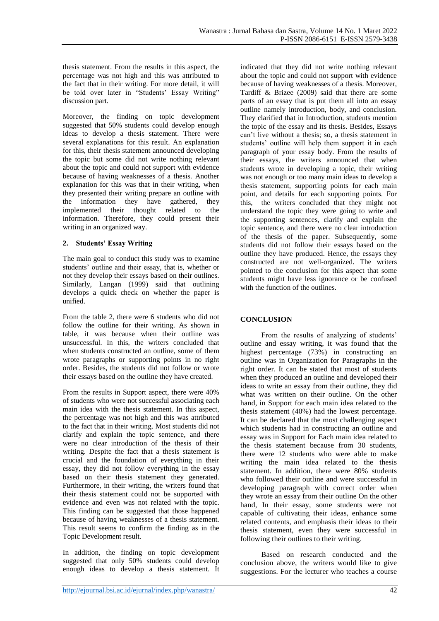thesis statement. From the results in this aspect, the percentage was not high and this was attributed to the fact that in their writing. For more detail, it will be told over later in "Students' Essay Writing" discussion part.

Moreover, the finding on topic development suggested that 50% students could develop enough ideas to develop a thesis statement. There were several explanations for this result. An explanation for this, their thesis statement announced developing the topic but some did not write nothing relevant about the topic and could not support with evidence because of having weaknesses of a thesis. Another explanation for this was that in their writing, when they presented their writing prepare an outline with the information they have gathered, they implemented their thought related to the information. Therefore, they could present their writing in an organized way.

## **2. Students' Essay Writing**

The main goal to conduct this study was to examine students' outline and their essay, that is, whether or not they develop their essays based on their outlines. Similarly, Langan (1999) said that outlining develops a quick check on whether the paper is unified.

From the table 2, there were 6 students who did not follow the outline for their writing. As shown in table, it was because when their outline was unsuccessful. In this, the writers concluded that when students constructed an outline, some of them wrote paragraphs or supporting points in no right order. Besides, the students did not follow or wrote their essays based on the outline they have created.

From the results in Support aspect, there were 40% of students who were not successful associating each main idea with the thesis statement. In this aspect, the percentage was not high and this was attributed to the fact that in their writing. Most students did not clarify and explain the topic sentence, and there were no clear introduction of the thesis of their writing. Despite the fact that a thesis statement is crucial and the foundation of everything in their essay, they did not follow everything in the essay based on their thesis statement they generated. Furthermore, in their writing, the writers found that their thesis statement could not be supported with evidence and even was not related with the topic. This finding can be suggested that those happened because of having weaknesses of a thesis statement. This result seems to confirm the finding as in the Topic Development result.

In addition, the finding on topic development suggested that only 50% students could develop enough ideas to develop a thesis statement. It indicated that they did not write nothing relevant about the topic and could not support with evidence because of having weaknesses of a thesis. Moreover, Tardiff & Brizee (2009) said that there are some parts of an essay that is put them all into an essay outline namely introduction, body, and conclusion. They clarified that in Introduction, students mention the topic of the essay and its thesis. Besides, Essays can't live without a thesis; so, a thesis statement in students' outline will help them support it in each paragraph of your essay body. From the results of their essays, the writers announced that when students wrote in developing a topic, their writing was not enough or too many main ideas to develop a thesis statement, supporting points for each main point, and details for each supporting points. For this, the writers concluded that they might not understand the topic they were going to write and the supporting sentences, clarify and explain the topic sentence, and there were no clear introduction of the thesis of the paper. Subsequently, some students did not follow their essays based on the outline they have produced. Hence, the essays they constructed are not well-organized. The writers pointed to the conclusion for this aspect that some students might have less ignorance or be confused with the function of the outlines.

## **CONCLUSION**

From the results of analyzing of students' outline and essay writing, it was found that the highest percentage (73%) in constructing an outline was in Organization for Paragraphs in the right order. It can be stated that most of students when they produced an outline and developed their ideas to write an essay from their outline, they did what was written on their outline. On the other hand, in Support for each main idea related to the thesis statement (40%) had the lowest percentage. It can be declared that the most challenging aspect which students had in constructing an outline and essay was in Support for Each main idea related to the thesis statement because from 30 students, there were 12 students who were able to make writing the main idea related to the thesis statement. In addition, there were 80% students who followed their outline and were successful in developing paragraph with correct order when they wrote an essay from their outline On the other hand, In their essay, some students were not capable of cultivating their ideas, enhance some related contents, and emphasis their ideas to their thesis statement, even they were successful in following their outlines to their writing.

Based on research conducted and the conclusion above, the writers would like to give suggestions. For the lecturer who teaches a course